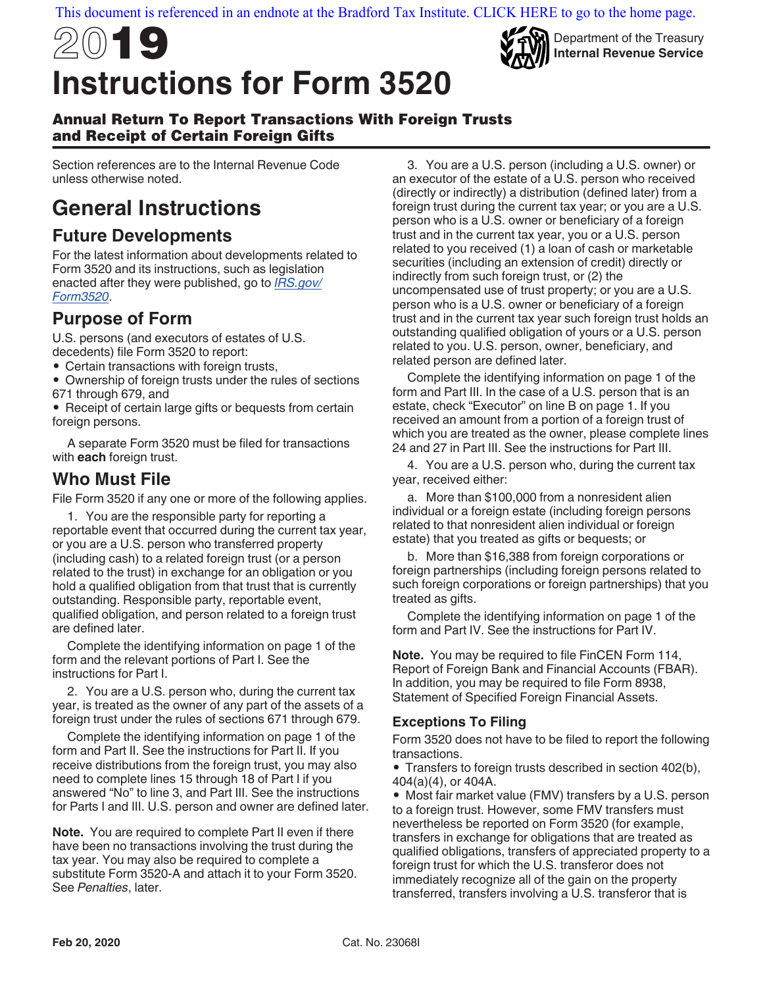

Department of the Treasury **Internal Revenue Service**

#### Annual Return To Report Transactions With Foreign Trusts and Receipt of Certain Foreign Gifts

Section references are to the Internal Revenue Code unless otherwise noted.

## **General Instructions**

### **Future Developments**

For the latest information about developments related to Form 3520 and its instructions, such as legislation enacted after they were published, go to *[IRS.gov/](https://www.irs.gov/Form3520) [Form3520](https://www.irs.gov/Form3520)*.

### **Purpose of Form**

U.S. persons (and executors of estates of U.S. decedents) file Form 3520 to report:

• Certain transactions with foreign trusts,

• Ownership of foreign trusts under the rules of sections 671 through 679, and

• Receipt of certain large gifts or bequests from certain foreign persons.

A separate Form 3520 must be filed for transactions with **each** foreign trust.

## **Who Must File**

File Form 3520 if any one or more of the following applies.

1. You are the responsible party for reporting a reportable event that occurred during the current tax year, or you are a U.S. person who transferred property (including cash) to a related foreign trust (or a person related to the trust) in exchange for an obligation or you hold a qualified obligation from that trust that is currently outstanding. Responsible party, reportable event, qualified obligation, and person related to a foreign trust are defined later.

Complete the identifying information on page 1 of the form and the relevant portions of Part I. See the instructions for Part I.

2. You are a U.S. person who, during the current tax year, is treated as the owner of any part of the assets of a foreign trust under the rules of sections 671 through 679.

Complete the identifying information on page 1 of the form and Part II. See the instructions for Part II. If you receive distributions from the foreign trust, you may also need to complete lines 15 through 18 of Part I if you answered "No" to line 3, and Part III. See the instructions for Parts I and III. U.S. person and owner are defined later.

**Note.** You are required to complete Part II even if there have been no transactions involving the trust during the tax year. You may also be required to complete a substitute Form 3520-A and attach it to your Form 3520. See *Penalties*, later.

3. You are a U.S. person (including a U.S. owner) or an executor of the estate of a U.S. person who received (directly or indirectly) a distribution (defined later) from a foreign trust during the current tax year; or you are a U.S. person who is a U.S. owner or beneficiary of a foreign trust and in the current tax year, you or a U.S. person related to you received (1) a loan of cash or marketable securities (including an extension of credit) directly or indirectly from such foreign trust, or (2) the uncompensated use of trust property; or you are a U.S. person who is a U.S. owner or beneficiary of a foreign trust and in the current tax year such foreign trust holds an outstanding qualified obligation of yours or a U.S. person related to you. U.S. person, owner, beneficiary, and related person are defined later.

Complete the identifying information on page 1 of the form and Part III. In the case of a U.S. person that is an estate, check "Executor" on line B on page 1. If you received an amount from a portion of a foreign trust of which you are treated as the owner, please complete lines 24 and 27 in Part III. See the instructions for Part III.

4. You are a U.S. person who, during the current tax year, received either:

a. More than \$100,000 from a nonresident alien individual or a foreign estate (including foreign persons related to that nonresident alien individual or foreign estate) that you treated as gifts or bequests; or

b. More than \$16,388 from foreign corporations or foreign partnerships (including foreign persons related to such foreign corporations or foreign partnerships) that you treated as gifts.

Complete the identifying information on page 1 of the form and Part IV. See the instructions for Part IV.

**Note.** You may be required to file FinCEN Form 114, Report of Foreign Bank and Financial Accounts (FBAR). In addition, you may be required to file Form 8938, Statement of Specified Foreign Financial Assets.

#### **Exceptions To Filing**

Form 3520 does not have to be filed to report the following transactions.

• Transfers to foreign trusts described in section 402(b), 404(a)(4), or 404A.

• Most fair market value (FMV) transfers by a U.S. person to a foreign trust. However, some FMV transfers must nevertheless be reported on Form 3520 (for example, transfers in exchange for obligations that are treated as qualified obligations, transfers of appreciated property to a foreign trust for which the U.S. transferor does not immediately recognize all of the gain on the property transferred, transfers involving a U.S. transferor that is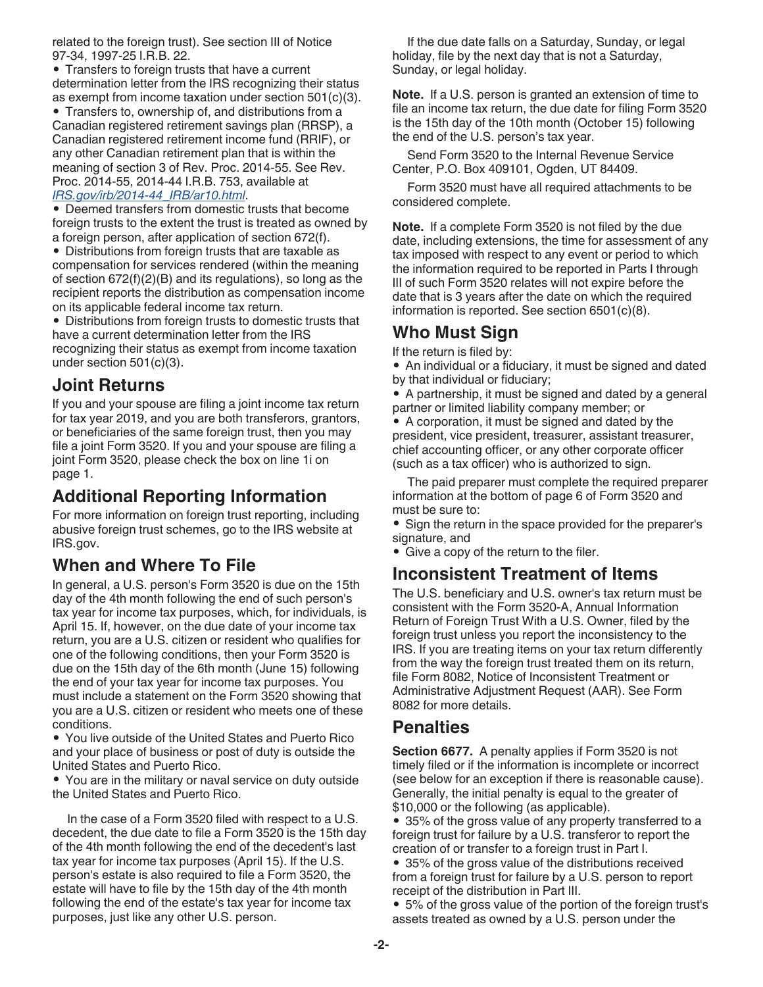related to the foreign trust). See section III of Notice 97-34, 1997-25 I.R.B. 22.

• Transfers to foreign trusts that have a current determination letter from the IRS recognizing their status as exempt from income taxation under section 501(c)(3).

• Transfers to, ownership of, and distributions from a Canadian registered retirement savings plan (RRSP), a Canadian registered retirement income fund (RRIF), or any other Canadian retirement plan that is within the meaning of section 3 of Rev. Proc. 2014-55. See Rev. Proc. 2014-55, 2014-44 I.R.B. 753, available at

#### *[IRS.gov/irb/2014-44\\_IRB/ar10.html](https://www.irs.gov/irb/2014-44_IRB/ar10.html)*.

• Deemed transfers from domestic trusts that become foreign trusts to the extent the trust is treated as owned by a foreign person, after application of section 672(f).

• Distributions from foreign trusts that are taxable as compensation for services rendered (within the meaning of section 672(f)(2)(B) and its regulations), so long as the recipient reports the distribution as compensation income on its applicable federal income tax return.

• Distributions from foreign trusts to domestic trusts that have a current determination letter from the IRS recognizing their status as exempt from income taxation under section 501(c)(3).

### **Joint Returns**

If you and your spouse are filing a joint income tax return for tax year 2019, and you are both transferors, grantors, or beneficiaries of the same foreign trust, then you may file a joint Form 3520. If you and your spouse are filing a joint Form 3520, please check the box on line 1i on page 1.

## **Additional Reporting Information**

For more information on foreign trust reporting, including abusive foreign trust schemes, go to the IRS website at IRS.gov.

## **When and Where To File**

In general, a U.S. person's Form 3520 is due on the 15th day of the 4th month following the end of such person's tax year for income tax purposes, which, for individuals, is April 15. If, however, on the due date of your income tax return, you are a U.S. citizen or resident who qualifies for one of the following conditions, then your Form 3520 is due on the 15th day of the 6th month (June 15) following the end of your tax year for income tax purposes. You must include a statement on the Form 3520 showing that you are a U.S. citizen or resident who meets one of these conditions.

• You live outside of the United States and Puerto Rico and your place of business or post of duty is outside the United States and Puerto Rico.

• You are in the military or naval service on duty outside the United States and Puerto Rico.

In the case of a Form 3520 filed with respect to a U.S. decedent, the due date to file a Form 3520 is the 15th day of the 4th month following the end of the decedent's last tax year for income tax purposes (April 15). If the U.S. person's estate is also required to file a Form 3520, the estate will have to file by the 15th day of the 4th month following the end of the estate's tax year for income tax purposes, just like any other U.S. person.

If the due date falls on a Saturday, Sunday, or legal holiday, file by the next day that is not a Saturday, Sunday, or legal holiday.

**Note.** If a U.S. person is granted an extension of time to file an income tax return, the due date for filing Form 3520 is the 15th day of the 10th month (October 15) following the end of the U.S. person's tax year.

Send Form 3520 to the Internal Revenue Service Center, P.O. Box 409101, Ogden, UT 84409.

Form 3520 must have all required attachments to be considered complete.

**Note.** If a complete Form 3520 is not filed by the due date, including extensions, the time for assessment of any tax imposed with respect to any event or period to which the information required to be reported in Parts I through III of such Form 3520 relates will not expire before the date that is 3 years after the date on which the required information is reported. See section 6501(c)(8).

### **Who Must Sign**

If the return is filed by:

- An individual or a fiduciary, it must be signed and dated by that individual or fiduciary;
- A partnership, it must be signed and dated by a general partner or limited liability company member; or

• A corporation, it must be signed and dated by the president, vice president, treasurer, assistant treasurer, chief accounting officer, or any other corporate officer (such as a tax officer) who is authorized to sign.

The paid preparer must complete the required preparer information at the bottom of page 6 of Form 3520 and must be sure to:

• Sign the return in the space provided for the preparer's signature, and

• Give a copy of the return to the filer.

### **Inconsistent Treatment of Items**

The U.S. beneficiary and U.S. owner's tax return must be consistent with the Form 3520-A, Annual Information Return of Foreign Trust With a U.S. Owner, filed by the foreign trust unless you report the inconsistency to the IRS. If you are treating items on your tax return differently from the way the foreign trust treated them on its return, file Form 8082, Notice of Inconsistent Treatment or Administrative Adjustment Request (AAR). See Form 8082 for more details.

### **Penalties**

**Section 6677.** A penalty applies if Form 3520 is not timely filed or if the information is incomplete or incorrect (see below for an exception if there is reasonable cause). Generally, the initial penalty is equal to the greater of \$10,000 or the following (as applicable).

• 35% of the gross value of any property transferred to a foreign trust for failure by a U.S. transferor to report the creation of or transfer to a foreign trust in Part I.

• 35% of the gross value of the distributions received from a foreign trust for failure by a U.S. person to report receipt of the distribution in Part III.

• 5% of the gross value of the portion of the foreign trust's assets treated as owned by a U.S. person under the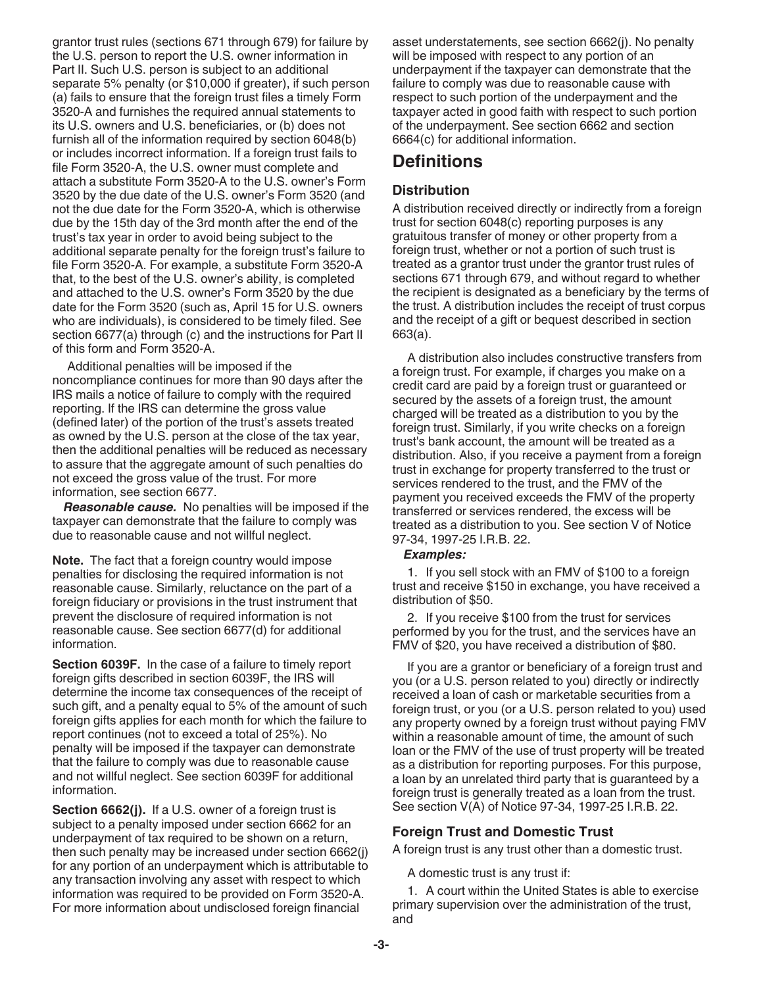grantor trust rules (sections 671 through 679) for failure by the U.S. person to report the U.S. owner information in Part II. Such U.S. person is subject to an additional separate 5% penalty (or \$10,000 if greater), if such person (a) fails to ensure that the foreign trust files a timely Form 3520-A and furnishes the required annual statements to its U.S. owners and U.S. beneficiaries, or (b) does not furnish all of the information required by section 6048(b) or includes incorrect information. If a foreign trust fails to file Form 3520-A, the U.S. owner must complete and attach a substitute Form 3520-A to the U.S. owner's Form 3520 by the due date of the U.S. owner's Form 3520 (and not the due date for the Form 3520-A, which is otherwise due by the 15th day of the 3rd month after the end of the trust's tax year in order to avoid being subject to the additional separate penalty for the foreign trust's failure to file Form 3520-A. For example, a substitute Form 3520-A that, to the best of the U.S. owner's ability, is completed and attached to the U.S. owner's Form 3520 by the due date for the Form 3520 (such as, April 15 for U.S. owners who are individuals), is considered to be timely filed. See section 6677(a) through (c) and the instructions for Part II of this form and Form 3520-A.

Additional penalties will be imposed if the noncompliance continues for more than 90 days after the IRS mails a notice of failure to comply with the required reporting. If the IRS can determine the gross value (defined later) of the portion of the trust's assets treated as owned by the U.S. person at the close of the tax year, then the additional penalties will be reduced as necessary to assure that the aggregate amount of such penalties do not exceed the gross value of the trust. For more information, see section 6677.

*Reasonable cause.* No penalties will be imposed if the taxpayer can demonstrate that the failure to comply was due to reasonable cause and not willful neglect.

**Note.** The fact that a foreign country would impose penalties for disclosing the required information is not reasonable cause. Similarly, reluctance on the part of a foreign fiduciary or provisions in the trust instrument that prevent the disclosure of required information is not reasonable cause. See section 6677(d) for additional information.

**Section 6039F.** In the case of a failure to timely report foreign gifts described in section 6039F, the IRS will determine the income tax consequences of the receipt of such gift, and a penalty equal to 5% of the amount of such foreign gifts applies for each month for which the failure to report continues (not to exceed a total of 25%). No penalty will be imposed if the taxpayer can demonstrate that the failure to comply was due to reasonable cause and not willful neglect. See section 6039F for additional information.

**Section 6662(j).** If a U.S. owner of a foreign trust is subject to a penalty imposed under section 6662 for an underpayment of tax required to be shown on a return, then such penalty may be increased under section 6662(j) for any portion of an underpayment which is attributable to any transaction involving any asset with respect to which information was required to be provided on Form 3520-A. For more information about undisclosed foreign financial

asset understatements, see section 6662(j). No penalty will be imposed with respect to any portion of an underpayment if the taxpayer can demonstrate that the failure to comply was due to reasonable cause with respect to such portion of the underpayment and the taxpayer acted in good faith with respect to such portion of the underpayment. See section 6662 and section 6664(c) for additional information.

### **Definitions**

#### **Distribution**

A distribution received directly or indirectly from a foreign trust for section 6048(c) reporting purposes is any gratuitous transfer of money or other property from a foreign trust, whether or not a portion of such trust is treated as a grantor trust under the grantor trust rules of sections 671 through 679, and without regard to whether the recipient is designated as a beneficiary by the terms of the trust. A distribution includes the receipt of trust corpus and the receipt of a gift or bequest described in section 663(a).

A distribution also includes constructive transfers from a foreign trust. For example, if charges you make on a credit card are paid by a foreign trust or guaranteed or secured by the assets of a foreign trust, the amount charged will be treated as a distribution to you by the foreign trust. Similarly, if you write checks on a foreign trust's bank account, the amount will be treated as a distribution. Also, if you receive a payment from a foreign trust in exchange for property transferred to the trust or services rendered to the trust, and the FMV of the payment you received exceeds the FMV of the property transferred or services rendered, the excess will be treated as a distribution to you. See section V of Notice 97-34, 1997-25 I.R.B. 22.

#### *Examples:*

1. If you sell stock with an FMV of \$100 to a foreign trust and receive \$150 in exchange, you have received a distribution of \$50.

2. If you receive \$100 from the trust for services performed by you for the trust, and the services have an FMV of \$20, you have received a distribution of \$80.

If you are a grantor or beneficiary of a foreign trust and you (or a U.S. person related to you) directly or indirectly received a loan of cash or marketable securities from a foreign trust, or you (or a U.S. person related to you) used any property owned by a foreign trust without paying FMV within a reasonable amount of time, the amount of such loan or the FMV of the use of trust property will be treated as a distribution for reporting purposes. For this purpose, a loan by an unrelated third party that is guaranteed by a foreign trust is generally treated as a loan from the trust. See section V(A) of Notice 97-34, 1997-25 I.R.B. 22.

#### **Foreign Trust and Domestic Trust**

A foreign trust is any trust other than a domestic trust.

A domestic trust is any trust if:

1. A court within the United States is able to exercise primary supervision over the administration of the trust, and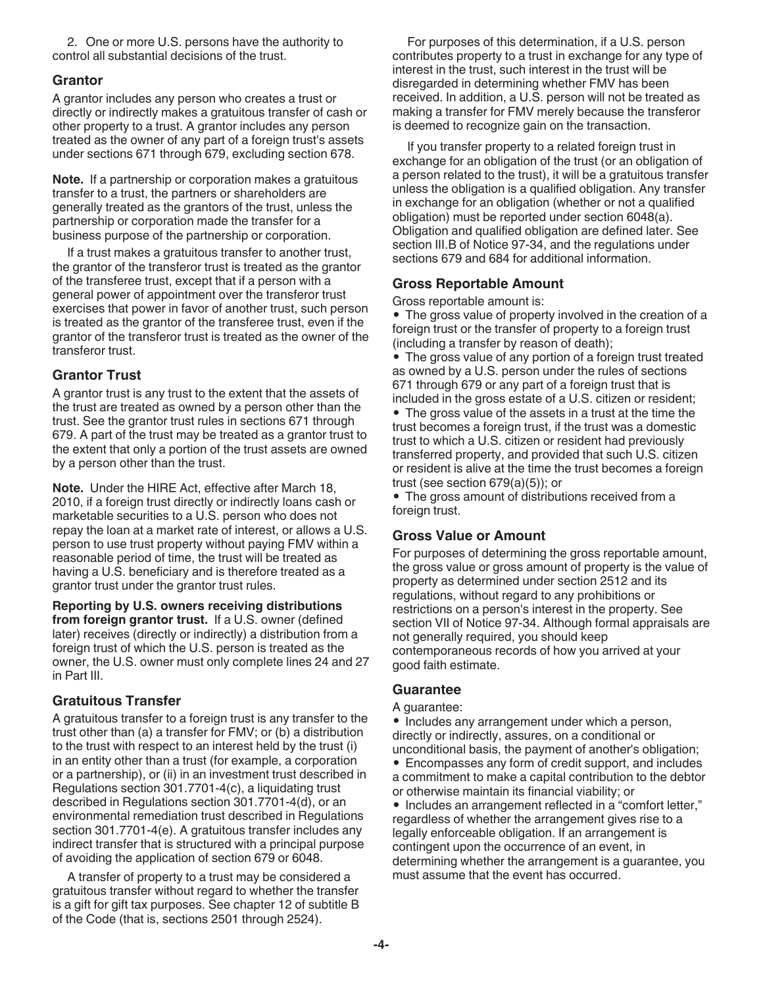2. One or more U.S. persons have the authority to control all substantial decisions of the trust.

#### **Grantor**

A grantor includes any person who creates a trust or directly or indirectly makes a gratuitous transfer of cash or other property to a trust. A grantor includes any person treated as the owner of any part of a foreign trust's assets under sections 671 through 679, excluding section 678.

**Note.** If a partnership or corporation makes a gratuitous transfer to a trust, the partners or shareholders are generally treated as the grantors of the trust, unless the partnership or corporation made the transfer for a business purpose of the partnership or corporation.

If a trust makes a gratuitous transfer to another trust, the grantor of the transferor trust is treated as the grantor of the transferee trust, except that if a person with a general power of appointment over the transferor trust exercises that power in favor of another trust, such person is treated as the grantor of the transferee trust, even if the grantor of the transferor trust is treated as the owner of the transferor trust.

#### **Grantor Trust**

A grantor trust is any trust to the extent that the assets of the trust are treated as owned by a person other than the trust. See the grantor trust rules in sections 671 through 679. A part of the trust may be treated as a grantor trust to the extent that only a portion of the trust assets are owned by a person other than the trust.

**Note.** Under the HIRE Act, effective after March 18, 2010, if a foreign trust directly or indirectly loans cash or marketable securities to a U.S. person who does not repay the loan at a market rate of interest, or allows a U.S. person to use trust property without paying FMV within a reasonable period of time, the trust will be treated as having a U.S. beneficiary and is therefore treated as a grantor trust under the grantor trust rules.

**Reporting by U.S. owners receiving distributions from foreign grantor trust.** If a U.S. owner (defined later) receives (directly or indirectly) a distribution from a foreign trust of which the U.S. person is treated as the owner, the U.S. owner must only complete lines 24 and 27 in Part III.

#### **Gratuitous Transfer**

A gratuitous transfer to a foreign trust is any transfer to the trust other than (a) a transfer for FMV; or (b) a distribution to the trust with respect to an interest held by the trust (i) in an entity other than a trust (for example, a corporation or a partnership), or (ii) in an investment trust described in Regulations section 301.7701-4(c), a liquidating trust described in Regulations section 301.7701-4(d), or an environmental remediation trust described in Regulations section 301.7701-4(e). A gratuitous transfer includes any indirect transfer that is structured with a principal purpose of avoiding the application of section 679 or 6048.

A transfer of property to a trust may be considered a gratuitous transfer without regard to whether the transfer is a gift for gift tax purposes. See chapter 12 of subtitle B of the Code (that is, sections 2501 through 2524).

For purposes of this determination, if a U.S. person contributes property to a trust in exchange for any type of interest in the trust, such interest in the trust will be disregarded in determining whether FMV has been received. In addition, a U.S. person will not be treated as making a transfer for FMV merely because the transferor is deemed to recognize gain on the transaction.

If you transfer property to a related foreign trust in exchange for an obligation of the trust (or an obligation of a person related to the trust), it will be a gratuitous transfer unless the obligation is a qualified obligation. Any transfer in exchange for an obligation (whether or not a qualified obligation) must be reported under section 6048(a). Obligation and qualified obligation are defined later. See section III.B of Notice 97-34, and the regulations under sections 679 and 684 for additional information.

#### **Gross Reportable Amount**

Gross reportable amount is:

• The gross value of property involved in the creation of a foreign trust or the transfer of property to a foreign trust (including a transfer by reason of death);

• The gross value of any portion of a foreign trust treated as owned by a U.S. person under the rules of sections 671 through 679 or any part of a foreign trust that is included in the gross estate of a U.S. citizen or resident;

• The gross value of the assets in a trust at the time the trust becomes a foreign trust, if the trust was a domestic trust to which a U.S. citizen or resident had previously transferred property, and provided that such U.S. citizen or resident is alive at the time the trust becomes a foreign trust (see section 679(a)(5)); or

• The gross amount of distributions received from a foreign trust.

#### **Gross Value or Amount**

For purposes of determining the gross reportable amount, the gross value or gross amount of property is the value of property as determined under section 2512 and its regulations, without regard to any prohibitions or restrictions on a person's interest in the property. See section VII of Notice 97-34. Although formal appraisals are not generally required, you should keep contemporaneous records of how you arrived at your good faith estimate.

#### **Guarantee**

#### A guarantee:

• Includes any arrangement under which a person, directly or indirectly, assures, on a conditional or unconditional basis, the payment of another's obligation;

• Encompasses any form of credit support, and includes a commitment to make a capital contribution to the debtor or otherwise maintain its financial viability; or

• Includes an arrangement reflected in a "comfort letter," regardless of whether the arrangement gives rise to a legally enforceable obligation. If an arrangement is contingent upon the occurrence of an event, in determining whether the arrangement is a guarantee, you must assume that the event has occurred.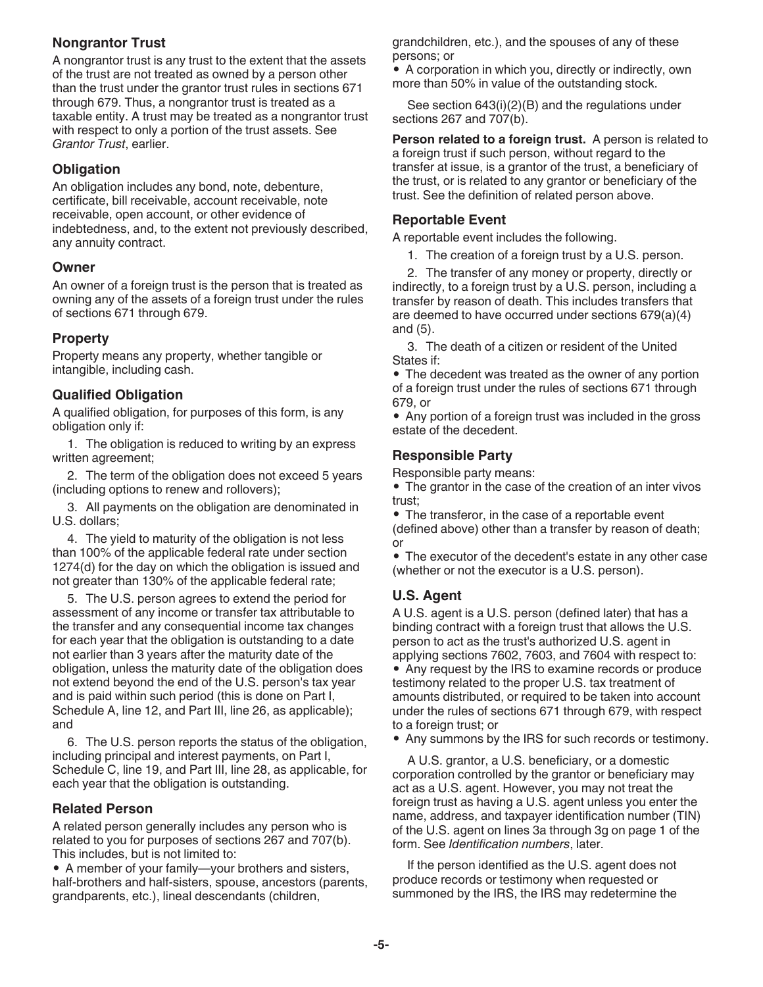#### **Nongrantor Trust**

A nongrantor trust is any trust to the extent that the assets of the trust are not treated as owned by a person other than the trust under the grantor trust rules in sections 671 through 679. Thus, a nongrantor trust is treated as a taxable entity. A trust may be treated as a nongrantor trust with respect to only a portion of the trust assets. See *Grantor Trust*, earlier.

#### **Obligation**

An obligation includes any bond, note, debenture, certificate, bill receivable, account receivable, note receivable, open account, or other evidence of indebtedness, and, to the extent not previously described, any annuity contract.

#### **Owner**

An owner of a foreign trust is the person that is treated as owning any of the assets of a foreign trust under the rules of sections 671 through 679.

#### **Property**

Property means any property, whether tangible or intangible, including cash.

#### **Qualified Obligation**

A qualified obligation, for purposes of this form, is any obligation only if:

1. The obligation is reduced to writing by an express written agreement;

2. The term of the obligation does not exceed 5 years (including options to renew and rollovers);

3. All payments on the obligation are denominated in U.S. dollars;

4. The yield to maturity of the obligation is not less than 100% of the applicable federal rate under section 1274(d) for the day on which the obligation is issued and not greater than 130% of the applicable federal rate;

5. The U.S. person agrees to extend the period for assessment of any income or transfer tax attributable to the transfer and any consequential income tax changes for each year that the obligation is outstanding to a date not earlier than 3 years after the maturity date of the obligation, unless the maturity date of the obligation does not extend beyond the end of the U.S. person's tax year and is paid within such period (this is done on Part I, Schedule A, line 12, and Part III, line 26, as applicable); and

6. The U.S. person reports the status of the obligation, including principal and interest payments, on Part I, Schedule C, line 19, and Part III, line 28, as applicable, for each year that the obligation is outstanding.

#### **Related Person**

A related person generally includes any person who is related to you for purposes of sections 267 and 707(b). This includes, but is not limited to:

• A member of your family—your brothers and sisters, half-brothers and half-sisters, spouse, ancestors (parents, grandparents, etc.), lineal descendants (children,

grandchildren, etc.), and the spouses of any of these persons; or

• A corporation in which you, directly or indirectly, own more than 50% in value of the outstanding stock.

See section 643(i)(2)(B) and the regulations under sections 267 and 707(b).

**Person related to a foreign trust.** A person is related to a foreign trust if such person, without regard to the transfer at issue, is a grantor of the trust, a beneficiary of the trust, or is related to any grantor or beneficiary of the trust. See the definition of related person above.

#### **Reportable Event**

A reportable event includes the following.

1. The creation of a foreign trust by a U.S. person.

2. The transfer of any money or property, directly or indirectly, to a foreign trust by a U.S. person, including a transfer by reason of death. This includes transfers that are deemed to have occurred under sections 679(a)(4) and (5).

3. The death of a citizen or resident of the United States if:

• The decedent was treated as the owner of any portion of a foreign trust under the rules of sections 671 through 679, or

• Any portion of a foreign trust was included in the gross estate of the decedent.

#### **Responsible Party**

Responsible party means:

• The grantor in the case of the creation of an inter vivos trust;

• The transferor, in the case of a reportable event (defined above) other than a transfer by reason of death; or

• The executor of the decedent's estate in any other case (whether or not the executor is a U.S. person).

#### **U.S. Agent**

A U.S. agent is a U.S. person (defined later) that has a binding contract with a foreign trust that allows the U.S. person to act as the trust's authorized U.S. agent in applying sections 7602, 7603, and 7604 with respect to: • Any request by the IRS to examine records or produce testimony related to the proper U.S. tax treatment of amounts distributed, or required to be taken into account under the rules of sections 671 through 679, with respect to a foreign trust; or

• Any summons by the IRS for such records or testimony.

A U.S. grantor, a U.S. beneficiary, or a domestic corporation controlled by the grantor or beneficiary may act as a U.S. agent. However, you may not treat the foreign trust as having a U.S. agent unless you enter the name, address, and taxpayer identification number (TIN) of the U.S. agent on lines 3a through 3g on page 1 of the form. See *Identification numbers*, later.

If the person identified as the U.S. agent does not produce records or testimony when requested or summoned by the IRS, the IRS may redetermine the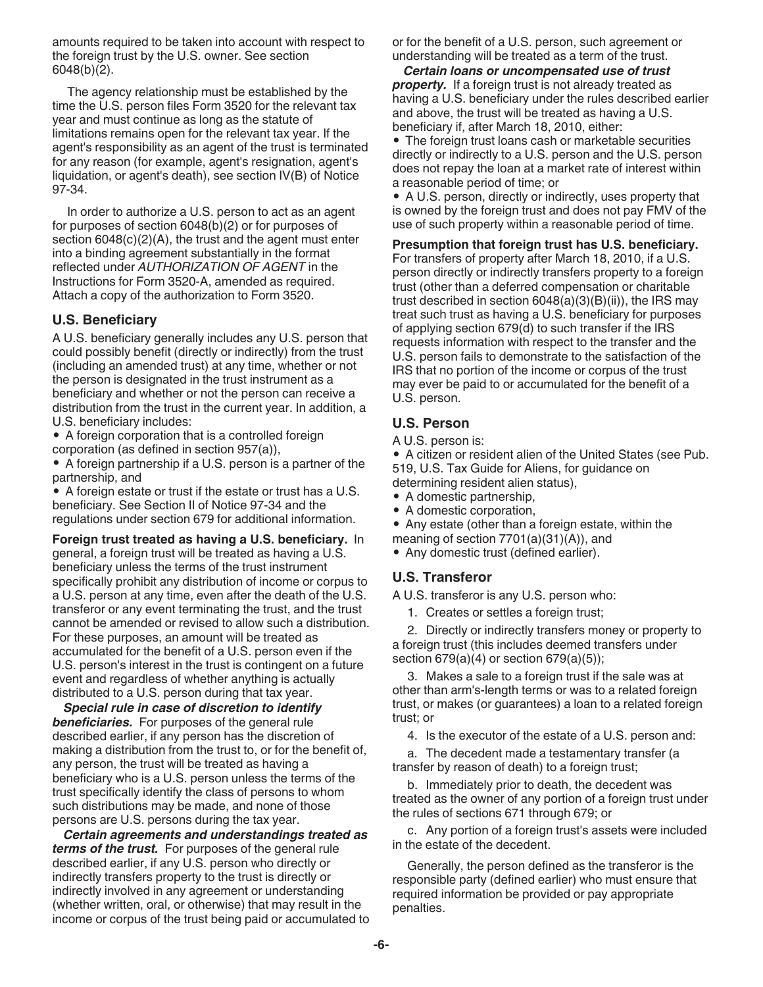amounts required to be taken into account with respect to the foreign trust by the U.S. owner. See section 6048(b)(2).

The agency relationship must be established by the time the U.S. person files Form 3520 for the relevant tax year and must continue as long as the statute of limitations remains open for the relevant tax year. If the agent's responsibility as an agent of the trust is terminated for any reason (for example, agent's resignation, agent's liquidation, or agent's death), see section IV(B) of Notice 97-34.

In order to authorize a U.S. person to act as an agent for purposes of section 6048(b)(2) or for purposes of section 6048(c)(2)(A), the trust and the agent must enter into a binding agreement substantially in the format reflected under *AUTHORIZATION OF AGENT* in the Instructions for Form 3520-A, amended as required. Attach a copy of the authorization to Form 3520.

#### **U.S. Beneficiary**

A U.S. beneficiary generally includes any U.S. person that could possibly benefit (directly or indirectly) from the trust (including an amended trust) at any time, whether or not the person is designated in the trust instrument as a beneficiary and whether or not the person can receive a distribution from the trust in the current year. In addition, a U.S. beneficiary includes:

• A foreign corporation that is a controlled foreign corporation (as defined in section 957(a)),

• A foreign partnership if a U.S. person is a partner of the partnership, and

• A foreign estate or trust if the estate or trust has a U.S. beneficiary. See Section II of Notice 97-34 and the regulations under section 679 for additional information.

**Foreign trust treated as having a U.S. beneficiary.** In general, a foreign trust will be treated as having a U.S. beneficiary unless the terms of the trust instrument specifically prohibit any distribution of income or corpus to a U.S. person at any time, even after the death of the U.S. transferor or any event terminating the trust, and the trust cannot be amended or revised to allow such a distribution. For these purposes, an amount will be treated as accumulated for the benefit of a U.S. person even if the U.S. person's interest in the trust is contingent on a future event and regardless of whether anything is actually distributed to a U.S. person during that tax year.

*Special rule in case of discretion to identify*  **beneficiaries.** For purposes of the general rule described earlier, if any person has the discretion of making a distribution from the trust to, or for the benefit of, any person, the trust will be treated as having a beneficiary who is a U.S. person unless the terms of the trust specifically identify the class of persons to whom such distributions may be made, and none of those persons are U.S. persons during the tax year.

*Certain agreements and understandings treated as terms of the trust.* For purposes of the general rule described earlier, if any U.S. person who directly or indirectly transfers property to the trust is directly or indirectly involved in any agreement or understanding (whether written, oral, or otherwise) that may result in the income or corpus of the trust being paid or accumulated to or for the benefit of a U.S. person, such agreement or understanding will be treated as a term of the trust.

*Certain loans or uncompensated use of trust property.* If a foreign trust is not already treated as having a U.S. beneficiary under the rules described earlier and above, the trust will be treated as having a U.S. beneficiary if, after March 18, 2010, either:

• The foreign trust loans cash or marketable securities directly or indirectly to a U.S. person and the U.S. person does not repay the loan at a market rate of interest within a reasonable period of time; or

• A U.S. person, directly or indirectly, uses property that is owned by the foreign trust and does not pay FMV of the use of such property within a reasonable period of time.

**Presumption that foreign trust has U.S. beneficiary.**  For transfers of property after March 18, 2010, if a U.S. person directly or indirectly transfers property to a foreign trust (other than a deferred compensation or charitable trust described in section  $6048(a)(3)(B)(ii)$ , the IRS may treat such trust as having a U.S. beneficiary for purposes of applying section 679(d) to such transfer if the IRS requests information with respect to the transfer and the U.S. person fails to demonstrate to the satisfaction of the IRS that no portion of the income or corpus of the trust may ever be paid to or accumulated for the benefit of a U.S. person.

#### **U.S. Person**

A U.S. person is:

• A citizen or resident alien of the United States (see Pub. 519, U.S. Tax Guide for Aliens, for guidance on determining resident alien status),

- A domestic partnership,
- A domestic corporation,
- Any estate (other than a foreign estate, within the
- meaning of section 7701(a)(31)(A)), and
- Any domestic trust (defined earlier).

#### **U.S. Transferor**

A U.S. transferor is any U.S. person who:

1. Creates or settles a foreign trust;

2. Directly or indirectly transfers money or property to a foreign trust (this includes deemed transfers under section 679(a)(4) or section 679(a)(5));

3. Makes a sale to a foreign trust if the sale was at other than arm's-length terms or was to a related foreign trust, or makes (or guarantees) a loan to a related foreign trust; or

4. Is the executor of the estate of a U.S. person and:

a. The decedent made a testamentary transfer (a transfer by reason of death) to a foreign trust;

b. Immediately prior to death, the decedent was treated as the owner of any portion of a foreign trust under the rules of sections 671 through 679; or

c. Any portion of a foreign trust's assets were included in the estate of the decedent.

Generally, the person defined as the transferor is the responsible party (defined earlier) who must ensure that required information be provided or pay appropriate penalties.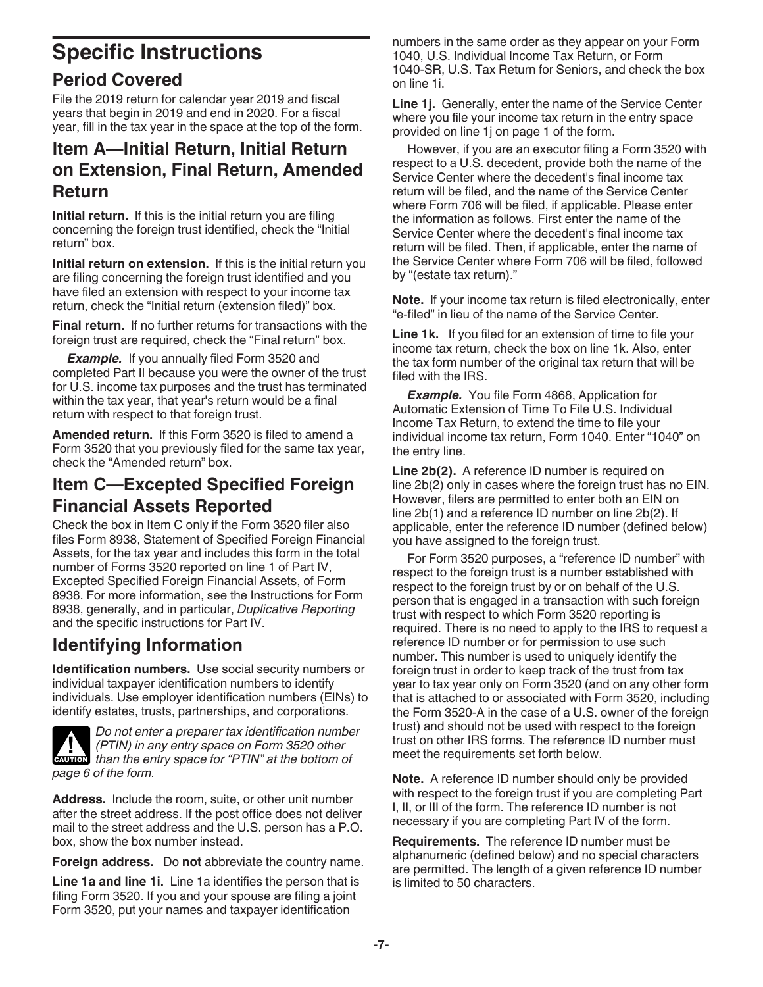# **Specific Instructions**

## **Period Covered**

File the 2019 return for calendar year 2019 and fiscal years that begin in 2019 and end in 2020. For a fiscal year, fill in the tax year in the space at the top of the form.

## **Item A—Initial Return, Initial Return on Extension, Final Return, Amended Return**

**Initial return.** If this is the initial return you are filing concerning the foreign trust identified, check the "Initial return" box.

**Initial return on extension.** If this is the initial return you are filing concerning the foreign trust identified and you have filed an extension with respect to your income tax return, check the "Initial return (extension filed)" box.

**Final return.** If no further returns for transactions with the foreign trust are required, check the "Final return" box.

*Example.* If you annually filed Form 3520 and completed Part II because you were the owner of the trust for U.S. income tax purposes and the trust has terminated within the tax year, that year's return would be a final return with respect to that foreign trust.

**Amended return.** If this Form 3520 is filed to amend a Form 3520 that you previously filed for the same tax year, check the "Amended return" box.

## **Item C—Excepted Specified Foreign Financial Assets Reported**

Check the box in Item C only if the Form 3520 filer also files Form 8938, Statement of Specified Foreign Financial Assets, for the tax year and includes this form in the total number of Forms 3520 reported on line 1 of Part IV, Excepted Specified Foreign Financial Assets, of Form 8938. For more information, see the Instructions for Form 8938, generally, and in particular, *Duplicative Reporting*  and the specific instructions for Part IV.

## **Identifying Information**

**Identification numbers.** Use social security numbers or individual taxpayer identification numbers to identify individuals. Use employer identification numbers (EINs) to identify estates, trusts, partnerships, and corporations.



*Do not enter a preparer tax identification number (PTIN) in any entry space on Form 3520 other than the entry space on Form 3520 other*<br> **CAUTION** than the entry space for "PTIN" at the bottom of *page 6 of the form.*

**Address.** Include the room, suite, or other unit number after the street address. If the post office does not deliver mail to the street address and the U.S. person has a P.O. box, show the box number instead.

**Foreign address.** Do **not** abbreviate the country name.

**Line 1a and line 1i.** Line 1a identifies the person that is filing Form 3520. If you and your spouse are filing a joint Form 3520, put your names and taxpayer identification

numbers in the same order as they appear on your Form 1040, U.S. Individual Income Tax Return, or Form 1040-SR, U.S. Tax Return for Seniors, and check the box on line 1i.

**Line 1j.** Generally, enter the name of the Service Center where you file your income tax return in the entry space provided on line 1j on page 1 of the form.

However, if you are an executor filing a Form 3520 with respect to a U.S. decedent, provide both the name of the Service Center where the decedent's final income tax return will be filed, and the name of the Service Center where Form 706 will be filed, if applicable. Please enter the information as follows. First enter the name of the Service Center where the decedent's final income tax return will be filed. Then, if applicable, enter the name of the Service Center where Form 706 will be filed, followed by "(estate tax return)."

**Note.** If your income tax return is filed electronically, enter "e-filed" in lieu of the name of the Service Center.

**Line 1k.** If you filed for an extension of time to file your income tax return, check the box on line 1k. Also, enter the tax form number of the original tax return that will be filed with the IRS.

**Example.** You file Form 4868, Application for Automatic Extension of Time To File U.S. Individual Income Tax Return, to extend the time to file your individual income tax return, Form 1040. Enter "1040" on the entry line.

**Line 2b(2).** A reference ID number is required on line 2b(2) only in cases where the foreign trust has no EIN. However, filers are permitted to enter both an EIN on line 2b(1) and a reference ID number on line 2b(2). If applicable, enter the reference ID number (defined below) you have assigned to the foreign trust.

For Form 3520 purposes, a "reference ID number" with respect to the foreign trust is a number established with respect to the foreign trust by or on behalf of the U.S. person that is engaged in a transaction with such foreign trust with respect to which Form 3520 reporting is required. There is no need to apply to the IRS to request a reference ID number or for permission to use such number. This number is used to uniquely identify the foreign trust in order to keep track of the trust from tax year to tax year only on Form 3520 (and on any other form that is attached to or associated with Form 3520, including the Form 3520-A in the case of a U.S. owner of the foreign trust) and should not be used with respect to the foreign trust on other IRS forms. The reference ID number must meet the requirements set forth below.

**Note.** A reference ID number should only be provided with respect to the foreign trust if you are completing Part I, II, or III of the form. The reference ID number is not necessary if you are completing Part IV of the form.

**Requirements.** The reference ID number must be alphanumeric (defined below) and no special characters are permitted. The length of a given reference ID number is limited to 50 characters.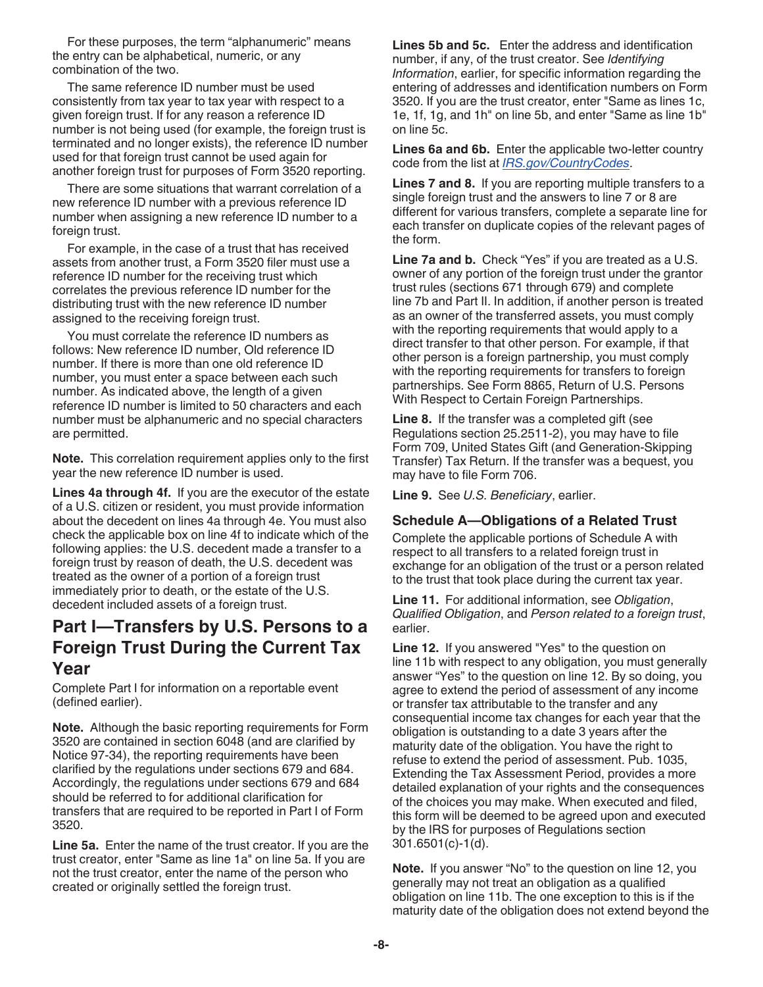For these purposes, the term "alphanumeric" means the entry can be alphabetical, numeric, or any combination of the two.

The same reference ID number must be used consistently from tax year to tax year with respect to a given foreign trust. If for any reason a reference ID number is not being used (for example, the foreign trust is terminated and no longer exists), the reference ID number used for that foreign trust cannot be used again for another foreign trust for purposes of Form 3520 reporting.

There are some situations that warrant correlation of a new reference ID number with a previous reference ID number when assigning a new reference ID number to a foreign trust.

For example, in the case of a trust that has received assets from another trust, a Form 3520 filer must use a reference ID number for the receiving trust which correlates the previous reference ID number for the distributing trust with the new reference ID number assigned to the receiving foreign trust.

You must correlate the reference ID numbers as follows: New reference ID number, Old reference ID number. If there is more than one old reference ID number, you must enter a space between each such number. As indicated above, the length of a given reference ID number is limited to 50 characters and each number must be alphanumeric and no special characters are permitted.

**Note.** This correlation requirement applies only to the first year the new reference ID number is used.

**Lines 4a through 4f.** If you are the executor of the estate of a U.S. citizen or resident, you must provide information about the decedent on lines 4a through 4e. You must also check the applicable box on line 4f to indicate which of the following applies: the U.S. decedent made a transfer to a foreign trust by reason of death, the U.S. decedent was treated as the owner of a portion of a foreign trust immediately prior to death, or the estate of the U.S. decedent included assets of a foreign trust.

## **Part I—Transfers by U.S. Persons to a Foreign Trust During the Current Tax Year**

Complete Part I for information on a reportable event (defined earlier).

**Note.** Although the basic reporting requirements for Form 3520 are contained in section 6048 (and are clarified by Notice 97-34), the reporting requirements have been clarified by the regulations under sections 679 and 684. Accordingly, the regulations under sections 679 and 684 should be referred to for additional clarification for transfers that are required to be reported in Part I of Form 3520.

**Line 5a.** Enter the name of the trust creator. If you are the trust creator, enter "Same as line 1a" on line 5a. If you are not the trust creator, enter the name of the person who created or originally settled the foreign trust.

**Lines 5b and 5c.** Enter the address and identification number, if any, of the trust creator. See *Identifying Information*, earlier, for specific information regarding the entering of addresses and identification numbers on Form 3520. If you are the trust creator, enter "Same as lines 1c, 1e, 1f, 1g, and 1h" on line 5b, and enter "Same as line 1b" on line 5c.

**Lines 6a and 6b.** Enter the applicable two-letter country code from the list at *[IRS.gov/CountryCodes](http://www.IRS.gov/countrycodes)*.

**Lines 7 and 8.** If you are reporting multiple transfers to a single foreign trust and the answers to line 7 or 8 are different for various transfers, complete a separate line for each transfer on duplicate copies of the relevant pages of the form.

**Line 7a and b.** Check "Yes" if you are treated as a U.S. owner of any portion of the foreign trust under the grantor trust rules (sections 671 through 679) and complete line 7b and Part II. In addition, if another person is treated as an owner of the transferred assets, you must comply with the reporting requirements that would apply to a direct transfer to that other person. For example, if that other person is a foreign partnership, you must comply with the reporting requirements for transfers to foreign partnerships. See Form 8865, Return of U.S. Persons With Respect to Certain Foreign Partnerships.

**Line 8.** If the transfer was a completed gift (see Regulations section 25.2511-2), you may have to file Form 709, United States Gift (and Generation-Skipping Transfer) Tax Return. If the transfer was a bequest, you may have to file Form 706.

**Line 9.** See *U.S. Beneficiary*, earlier.

#### **Schedule A—Obligations of a Related Trust**

Complete the applicable portions of Schedule A with respect to all transfers to a related foreign trust in exchange for an obligation of the trust or a person related to the trust that took place during the current tax year.

**Line 11.** For additional information, see *Obligation*, *Qualified Obligation*, and *Person related to a foreign trust*, earlier.

**Line 12.** If you answered "Yes" to the question on line 11b with respect to any obligation, you must generally answer "Yes" to the question on line 12. By so doing, you agree to extend the period of assessment of any income or transfer tax attributable to the transfer and any consequential income tax changes for each year that the obligation is outstanding to a date 3 years after the maturity date of the obligation. You have the right to refuse to extend the period of assessment. Pub. 1035, Extending the Tax Assessment Period, provides a more detailed explanation of your rights and the consequences of the choices you may make. When executed and filed, this form will be deemed to be agreed upon and executed by the IRS for purposes of Regulations section 301.6501(c)-1(d).

**Note.** If you answer "No" to the question on line 12, you generally may not treat an obligation as a qualified obligation on line 11b. The one exception to this is if the maturity date of the obligation does not extend beyond the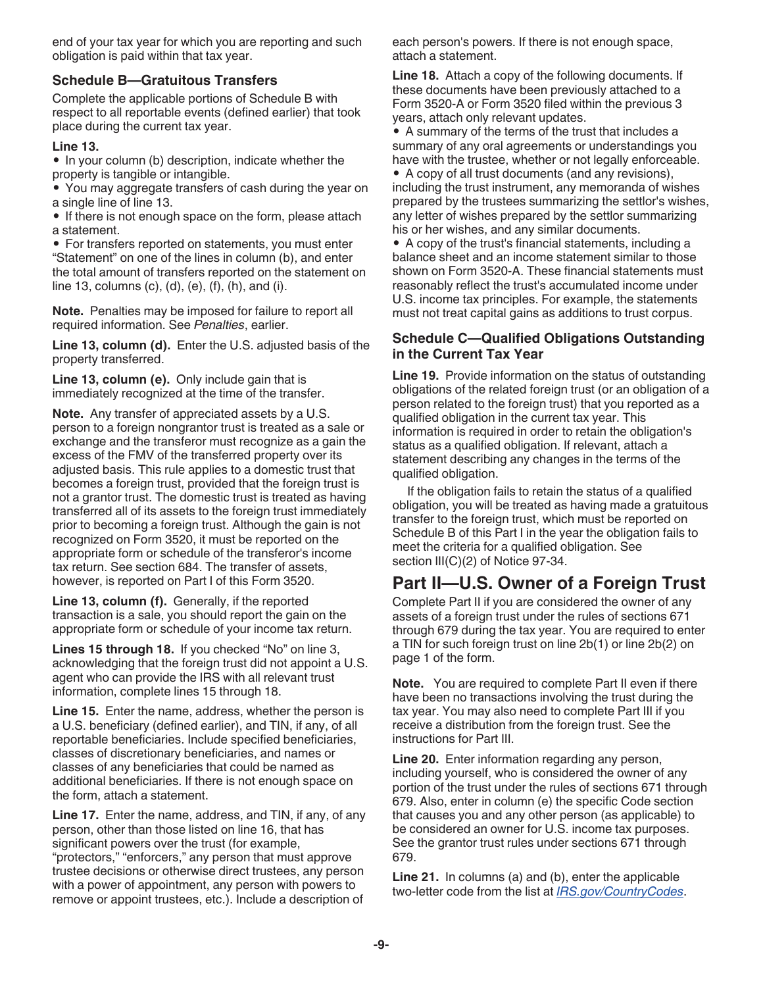end of your tax year for which you are reporting and such obligation is paid within that tax year.

#### **Schedule B—Gratuitous Transfers**

Complete the applicable portions of Schedule B with respect to all reportable events (defined earlier) that took place during the current tax year.

#### **Line 13.**

• In your column (b) description, indicate whether the property is tangible or intangible.

• You may aggregate transfers of cash during the year on a single line of line 13.

• If there is not enough space on the form, please attach a statement.

• For transfers reported on statements, you must enter "Statement" on one of the lines in column (b), and enter the total amount of transfers reported on the statement on line 13, columns (c), (d), (e), (f), (h), and (i).

**Note.** Penalties may be imposed for failure to report all required information. See *Penalties*, earlier.

**Line 13, column (d).** Enter the U.S. adjusted basis of the property transferred.

**Line 13, column (e).** Only include gain that is immediately recognized at the time of the transfer.

**Note.** Any transfer of appreciated assets by a U.S. person to a foreign nongrantor trust is treated as a sale or exchange and the transferor must recognize as a gain the excess of the FMV of the transferred property over its adjusted basis. This rule applies to a domestic trust that becomes a foreign trust, provided that the foreign trust is not a grantor trust. The domestic trust is treated as having transferred all of its assets to the foreign trust immediately prior to becoming a foreign trust. Although the gain is not recognized on Form 3520, it must be reported on the appropriate form or schedule of the transferor's income tax return. See section 684. The transfer of assets, however, is reported on Part I of this Form 3520.

**Line 13, column (f).** Generally, if the reported transaction is a sale, you should report the gain on the appropriate form or schedule of your income tax return.

**Lines 15 through 18.** If you checked "No" on line 3, acknowledging that the foreign trust did not appoint a U.S. agent who can provide the IRS with all relevant trust information, complete lines 15 through 18.

**Line 15.** Enter the name, address, whether the person is a U.S. beneficiary (defined earlier), and TIN, if any, of all reportable beneficiaries. Include specified beneficiaries, classes of discretionary beneficiaries, and names or classes of any beneficiaries that could be named as additional beneficiaries. If there is not enough space on the form, attach a statement.

**Line 17.** Enter the name, address, and TIN, if any, of any person, other than those listed on line 16, that has significant powers over the trust (for example, "protectors," "enforcers," any person that must approve trustee decisions or otherwise direct trustees, any person with a power of appointment, any person with powers to remove or appoint trustees, etc.). Include a description of

each person's powers. If there is not enough space, attach a statement.

**Line 18.** Attach a copy of the following documents. If these documents have been previously attached to a Form 3520-A or Form 3520 filed within the previous 3 years, attach only relevant updates.

• A summary of the terms of the trust that includes a summary of any oral agreements or understandings you have with the trustee, whether or not legally enforceable.

• A copy of all trust documents (and any revisions), including the trust instrument, any memoranda of wishes prepared by the trustees summarizing the settlor's wishes, any letter of wishes prepared by the settlor summarizing his or her wishes, and any similar documents.

• A copy of the trust's financial statements, including a balance sheet and an income statement similar to those shown on Form 3520-A. These financial statements must reasonably reflect the trust's accumulated income under U.S. income tax principles. For example, the statements must not treat capital gains as additions to trust corpus.

#### **Schedule C—Qualified Obligations Outstanding in the Current Tax Year**

**Line 19.** Provide information on the status of outstanding obligations of the related foreign trust (or an obligation of a person related to the foreign trust) that you reported as a qualified obligation in the current tax year. This information is required in order to retain the obligation's status as a qualified obligation. If relevant, attach a statement describing any changes in the terms of the qualified obligation.

If the obligation fails to retain the status of a qualified obligation, you will be treated as having made a gratuitous transfer to the foreign trust, which must be reported on Schedule B of this Part I in the year the obligation fails to meet the criteria for a qualified obligation. See section III(C)(2) of Notice 97-34.

## **Part II—U.S. Owner of a Foreign Trust**

Complete Part II if you are considered the owner of any assets of a foreign trust under the rules of sections 671 through 679 during the tax year. You are required to enter a TIN for such foreign trust on line 2b(1) or line 2b(2) on page 1 of the form.

**Note.** You are required to complete Part II even if there have been no transactions involving the trust during the tax year. You may also need to complete Part III if you receive a distribution from the foreign trust. See the instructions for Part III.

**Line 20.** Enter information regarding any person, including yourself, who is considered the owner of any portion of the trust under the rules of sections 671 through 679. Also, enter in column (e) the specific Code section that causes you and any other person (as applicable) to be considered an owner for U.S. income tax purposes. See the grantor trust rules under sections 671 through 679.

**Line 21.** In columns (a) and (b), enter the applicable two-letter code from the list at *[IRS.gov/CountryCodes](http://www.IRS.gov/countrycodes)*.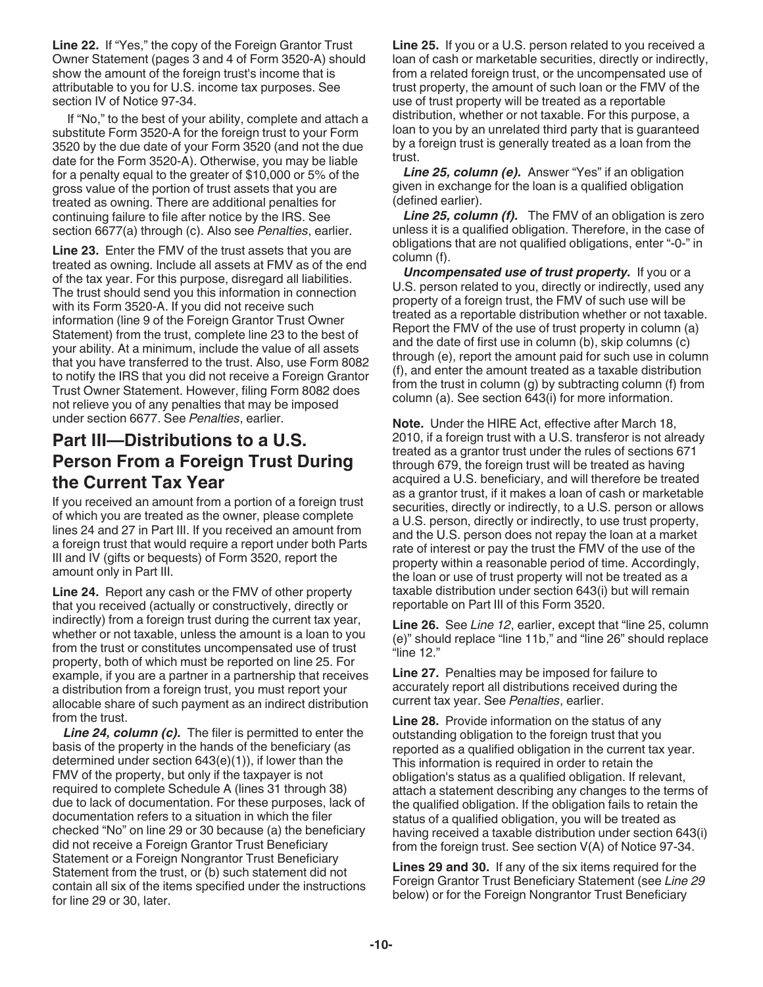**Line 22.** If "Yes," the copy of the Foreign Grantor Trust Owner Statement (pages 3 and 4 of Form 3520-A) should show the amount of the foreign trust's income that is attributable to you for U.S. income tax purposes. See section IV of Notice 97-34.

If "No," to the best of your ability, complete and attach a substitute Form 3520-A for the foreign trust to your Form 3520 by the due date of your Form 3520 (and not the due date for the Form 3520-A). Otherwise, you may be liable for a penalty equal to the greater of \$10,000 or 5% of the gross value of the portion of trust assets that you are treated as owning. There are additional penalties for continuing failure to file after notice by the IRS. See section 6677(a) through (c). Also see *Penalties*, earlier.

**Line 23.** Enter the FMV of the trust assets that you are treated as owning. Include all assets at FMV as of the end of the tax year. For this purpose, disregard all liabilities. The trust should send you this information in connection with its Form 3520-A. If you did not receive such information (line 9 of the Foreign Grantor Trust Owner Statement) from the trust, complete line 23 to the best of your ability. At a minimum, include the value of all assets that you have transferred to the trust. Also, use Form 8082 to notify the IRS that you did not receive a Foreign Grantor Trust Owner Statement. However, filing Form 8082 does not relieve you of any penalties that may be imposed under section 6677. See *Penalties*, earlier.

## **Part III—Distributions to a U.S. Person From a Foreign Trust During the Current Tax Year**

If you received an amount from a portion of a foreign trust of which you are treated as the owner, please complete lines 24 and 27 in Part III. If you received an amount from a foreign trust that would require a report under both Parts III and IV (gifts or bequests) of Form 3520, report the amount only in Part III.

**Line 24.** Report any cash or the FMV of other property that you received (actually or constructively, directly or indirectly) from a foreign trust during the current tax year, whether or not taxable, unless the amount is a loan to you from the trust or constitutes uncompensated use of trust property, both of which must be reported on line 25. For example, if you are a partner in a partnership that receives a distribution from a foreign trust, you must report your allocable share of such payment as an indirect distribution from the trust.

*Line 24, column (c).* The filer is permitted to enter the basis of the property in the hands of the beneficiary (as determined under section 643(e)(1)), if lower than the FMV of the property, but only if the taxpayer is not required to complete Schedule A (lines 31 through 38) due to lack of documentation. For these purposes, lack of documentation refers to a situation in which the filer checked "No" on line 29 or 30 because (a) the beneficiary did not receive a Foreign Grantor Trust Beneficiary Statement or a Foreign Nongrantor Trust Beneficiary Statement from the trust, or (b) such statement did not contain all six of the items specified under the instructions for line 29 or 30, later.

**Line 25.** If you or a U.S. person related to you received a loan of cash or marketable securities, directly or indirectly, from a related foreign trust, or the uncompensated use of trust property, the amount of such loan or the FMV of the use of trust property will be treated as a reportable distribution, whether or not taxable. For this purpose, a loan to you by an unrelated third party that is guaranteed by a foreign trust is generally treated as a loan from the trust.

*Line 25, column (e).* Answer "Yes" if an obligation given in exchange for the loan is a qualified obligation (defined earlier).

*Line 25, column (f).* The FMV of an obligation is zero unless it is a qualified obligation. Therefore, in the case of obligations that are not qualified obligations, enter "-0-" in column (f).

*Uncompensated use of trust property.* If you or a U.S. person related to you, directly or indirectly, used any property of a foreign trust, the FMV of such use will be treated as a reportable distribution whether or not taxable. Report the FMV of the use of trust property in column (a) and the date of first use in column (b), skip columns (c) through (e), report the amount paid for such use in column (f), and enter the amount treated as a taxable distribution from the trust in column (g) by subtracting column (f) from column (a). See section 643(i) for more information.

**Note.** Under the HIRE Act, effective after March 18, 2010, if a foreign trust with a U.S. transferor is not already treated as a grantor trust under the rules of sections 671 through 679, the foreign trust will be treated as having acquired a U.S. beneficiary, and will therefore be treated as a grantor trust, if it makes a loan of cash or marketable securities, directly or indirectly, to a U.S. person or allows a U.S. person, directly or indirectly, to use trust property, and the U.S. person does not repay the loan at a market rate of interest or pay the trust the FMV of the use of the property within a reasonable period of time. Accordingly, the loan or use of trust property will not be treated as a taxable distribution under section 643(i) but will remain reportable on Part III of this Form 3520.

**Line 26.** See *Line 12*, earlier, except that "line 25, column (e)" should replace "line 11b," and "line 26" should replace "line 12."

**Line 27.** Penalties may be imposed for failure to accurately report all distributions received during the current tax year. See *Penalties*, earlier.

**Line 28.** Provide information on the status of any outstanding obligation to the foreign trust that you reported as a qualified obligation in the current tax year. This information is required in order to retain the obligation's status as a qualified obligation. If relevant, attach a statement describing any changes to the terms of the qualified obligation. If the obligation fails to retain the status of a qualified obligation, you will be treated as having received a taxable distribution under section 643(i) from the foreign trust. See section V(A) of Notice 97-34.

**Lines 29 and 30.** If any of the six items required for the Foreign Grantor Trust Beneficiary Statement (see *Line 29*  below) or for the Foreign Nongrantor Trust Beneficiary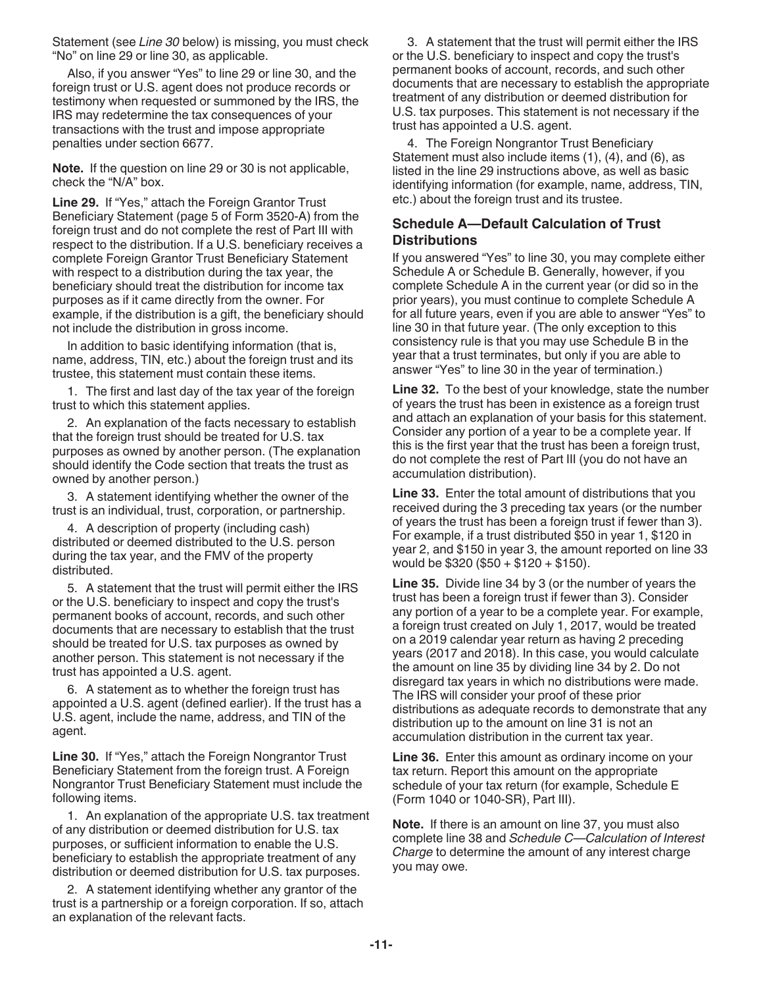Statement (see *Line 30* below) is missing, you must check "No" on line 29 or line 30, as applicable.

Also, if you answer "Yes" to line 29 or line 30, and the foreign trust or U.S. agent does not produce records or testimony when requested or summoned by the IRS, the IRS may redetermine the tax consequences of your transactions with the trust and impose appropriate penalties under section 6677.

**Note.** If the question on line 29 or 30 is not applicable, check the "N/A" box.

**Line 29.** If "Yes," attach the Foreign Grantor Trust Beneficiary Statement (page 5 of Form 3520-A) from the foreign trust and do not complete the rest of Part III with respect to the distribution. If a U.S. beneficiary receives a complete Foreign Grantor Trust Beneficiary Statement with respect to a distribution during the tax year, the beneficiary should treat the distribution for income tax purposes as if it came directly from the owner. For example, if the distribution is a gift, the beneficiary should not include the distribution in gross income.

In addition to basic identifying information (that is, name, address, TIN, etc.) about the foreign trust and its trustee, this statement must contain these items.

1. The first and last day of the tax year of the foreign trust to which this statement applies.

2. An explanation of the facts necessary to establish that the foreign trust should be treated for U.S. tax purposes as owned by another person. (The explanation should identify the Code section that treats the trust as owned by another person.)

3. A statement identifying whether the owner of the trust is an individual, trust, corporation, or partnership.

4. A description of property (including cash) distributed or deemed distributed to the U.S. person during the tax year, and the FMV of the property distributed.

5. A statement that the trust will permit either the IRS or the U.S. beneficiary to inspect and copy the trust's permanent books of account, records, and such other documents that are necessary to establish that the trust should be treated for U.S. tax purposes as owned by another person. This statement is not necessary if the trust has appointed a U.S. agent.

6. A statement as to whether the foreign trust has appointed a U.S. agent (defined earlier). If the trust has a U.S. agent, include the name, address, and TIN of the agent.

**Line 30.** If "Yes," attach the Foreign Nongrantor Trust Beneficiary Statement from the foreign trust. A Foreign Nongrantor Trust Beneficiary Statement must include the following items.

1. An explanation of the appropriate U.S. tax treatment of any distribution or deemed distribution for U.S. tax purposes, or sufficient information to enable the U.S. beneficiary to establish the appropriate treatment of any distribution or deemed distribution for U.S. tax purposes.

2. A statement identifying whether any grantor of the trust is a partnership or a foreign corporation. If so, attach an explanation of the relevant facts.

3. A statement that the trust will permit either the IRS or the U.S. beneficiary to inspect and copy the trust's permanent books of account, records, and such other documents that are necessary to establish the appropriate treatment of any distribution or deemed distribution for U.S. tax purposes. This statement is not necessary if the trust has appointed a U.S. agent.

4. The Foreign Nongrantor Trust Beneficiary Statement must also include items (1), (4), and (6), as listed in the line 29 instructions above, as well as basic identifying information (for example, name, address, TIN, etc.) about the foreign trust and its trustee.

#### **Schedule A—Default Calculation of Trust Distributions**

If you answered "Yes" to line 30, you may complete either Schedule A or Schedule B. Generally, however, if you complete Schedule A in the current year (or did so in the prior years), you must continue to complete Schedule A for all future years, even if you are able to answer "Yes" to line 30 in that future year. (The only exception to this consistency rule is that you may use Schedule B in the year that a trust terminates, but only if you are able to answer "Yes" to line 30 in the year of termination.)

**Line 32.** To the best of your knowledge, state the number of years the trust has been in existence as a foreign trust and attach an explanation of your basis for this statement. Consider any portion of a year to be a complete year. If this is the first year that the trust has been a foreign trust, do not complete the rest of Part III (you do not have an accumulation distribution).

**Line 33.** Enter the total amount of distributions that you received during the 3 preceding tax years (or the number of years the trust has been a foreign trust if fewer than 3). For example, if a trust distributed \$50 in year 1, \$120 in year 2, and \$150 in year 3, the amount reported on line 33 would be \$320 (\$50 + \$120 + \$150).

**Line 35.** Divide line 34 by 3 (or the number of years the trust has been a foreign trust if fewer than 3). Consider any portion of a year to be a complete year. For example, a foreign trust created on July 1, 2017, would be treated on a 2019 calendar year return as having 2 preceding years (2017 and 2018). In this case, you would calculate the amount on line 35 by dividing line 34 by 2. Do not disregard tax years in which no distributions were made. The IRS will consider your proof of these prior distributions as adequate records to demonstrate that any distribution up to the amount on line 31 is not an accumulation distribution in the current tax year.

**Line 36.** Enter this amount as ordinary income on your tax return. Report this amount on the appropriate schedule of your tax return (for example, Schedule E (Form 1040 or 1040-SR), Part III).

**Note.** If there is an amount on line 37, you must also complete line 38 and *Schedule C—Calculation of Interest Charge* to determine the amount of any interest charge you may owe.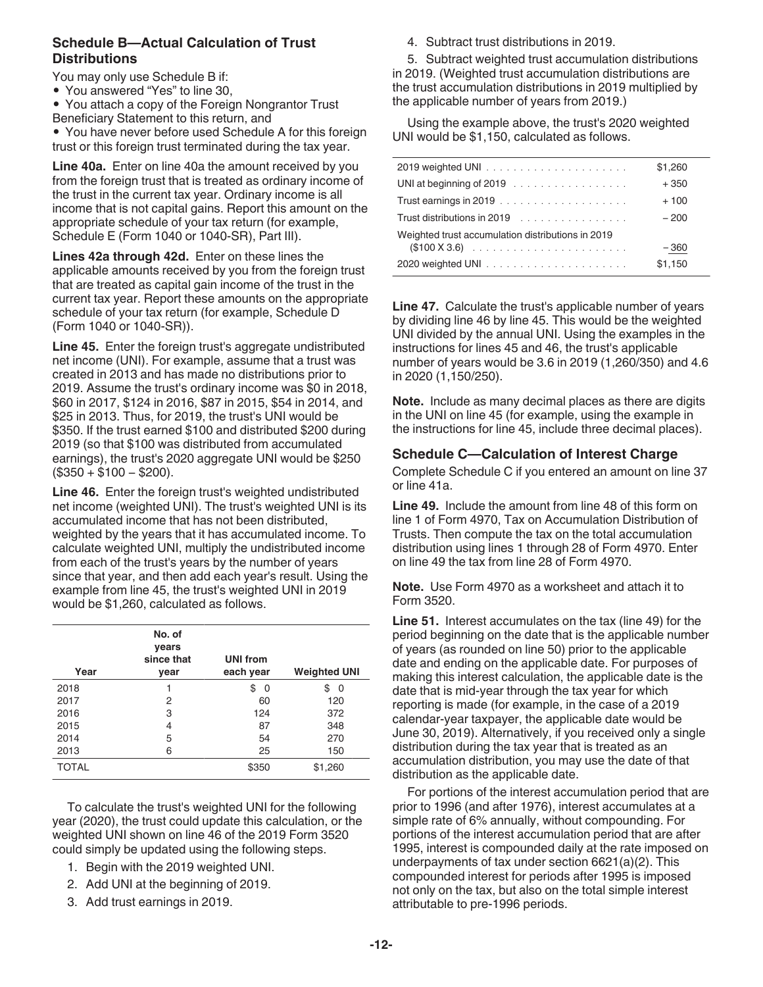#### **Schedule B—Actual Calculation of Trust Distributions**

- You may only use Schedule B if:
- You answered "Yes" to line 30,
- You attach a copy of the Foreign Nongrantor Trust
- Beneficiary Statement to this return, and
- You have never before used Schedule A for this foreign trust or this foreign trust terminated during the tax year.

**Line 40a.** Enter on line 40a the amount received by you from the foreign trust that is treated as ordinary income of the trust in the current tax year. Ordinary income is all income that is not capital gains. Report this amount on the appropriate schedule of your tax return (for example, Schedule E (Form 1040 or 1040-SR), Part III).

**Lines 42a through 42d.** Enter on these lines the applicable amounts received by you from the foreign trust that are treated as capital gain income of the trust in the current tax year. Report these amounts on the appropriate schedule of your tax return (for example, Schedule D (Form 1040 or 1040-SR)).

**Line 45.** Enter the foreign trust's aggregate undistributed net income (UNI). For example, assume that a trust was created in 2013 and has made no distributions prior to 2019. Assume the trust's ordinary income was \$0 in 2018, \$60 in 2017, \$124 in 2016, \$87 in 2015, \$54 in 2014, and \$25 in 2013. Thus, for 2019, the trust's UNI would be \$350. If the trust earned \$100 and distributed \$200 during 2019 (so that \$100 was distributed from accumulated earnings), the trust's 2020 aggregate UNI would be \$250 (\$350 + \$100 − \$200).

**Line 46.** Enter the foreign trust's weighted undistributed net income (weighted UNI). The trust's weighted UNI is its accumulated income that has not been distributed, weighted by the years that it has accumulated income. To calculate weighted UNI, multiply the undistributed income from each of the trust's years by the number of years since that year, and then add each year's result. Using the example from line 45, the trust's weighted UNI in 2019 would be \$1,260, calculated as follows.

| Year         | No. of<br>vears<br>since that<br>vear | <b>UNI from</b><br>each year | <b>Weighted UNI</b> |
|--------------|---------------------------------------|------------------------------|---------------------|
| 2018         |                                       | \$<br>0                      | \$<br>0             |
| 2017         | 2                                     | 60                           | 120                 |
| 2016         | 3                                     | 124                          | 372                 |
| 2015         | 4                                     | 87                           | 348                 |
| 2014         | 5                                     | 54                           | 270                 |
| 2013         | 6                                     | 25                           | 150                 |
| <b>TOTAL</b> |                                       | \$350                        | \$1,260             |

To calculate the trust's weighted UNI for the following year (2020), the trust could update this calculation, or the weighted UNI shown on line 46 of the 2019 Form 3520 could simply be updated using the following steps.

- 1. Begin with the 2019 weighted UNI.
- 2. Add UNI at the beginning of 2019.
- 3. Add trust earnings in 2019.

4. Subtract trust distributions in 2019.

5. Subtract weighted trust accumulation distributions in 2019. (Weighted trust accumulation distributions are the trust accumulation distributions in 2019 multiplied by the applicable number of years from 2019.)

Using the example above, the trust's 2020 weighted UNI would be \$1,150, calculated as follows.

|                                                   | \$1,260 |
|---------------------------------------------------|---------|
|                                                   | $+350$  |
|                                                   | $+100$  |
|                                                   | $-200$  |
| Weighted trust accumulation distributions in 2019 |         |
|                                                   | $-360$  |
|                                                   | \$1,150 |

**Line 47.** Calculate the trust's applicable number of years by dividing line 46 by line 45. This would be the weighted UNI divided by the annual UNI. Using the examples in the instructions for lines 45 and 46, the trust's applicable number of years would be 3.6 in 2019 (1,260/350) and 4.6 in 2020 (1,150/250).

**Note.** Include as many decimal places as there are digits in the UNI on line 45 (for example, using the example in the instructions for line 45, include three decimal places).

#### **Schedule C—Calculation of Interest Charge**

Complete Schedule C if you entered an amount on line 37 or line 41a.

**Line 49.** Include the amount from line 48 of this form on line 1 of Form 4970, Tax on Accumulation Distribution of Trusts. Then compute the tax on the total accumulation distribution using lines 1 through 28 of Form 4970. Enter on line 49 the tax from line 28 of Form 4970.

**Note.** Use Form 4970 as a worksheet and attach it to Form 3520.

**Line 51.** Interest accumulates on the tax (line 49) for the period beginning on the date that is the applicable number of years (as rounded on line 50) prior to the applicable date and ending on the applicable date. For purposes of making this interest calculation, the applicable date is the date that is mid-year through the tax year for which reporting is made (for example, in the case of a 2019 calendar-year taxpayer, the applicable date would be June 30, 2019). Alternatively, if you received only a single distribution during the tax year that is treated as an accumulation distribution, you may use the date of that distribution as the applicable date.

For portions of the interest accumulation period that are prior to 1996 (and after 1976), interest accumulates at a simple rate of 6% annually, without compounding. For portions of the interest accumulation period that are after 1995, interest is compounded daily at the rate imposed on underpayments of tax under section 6621(a)(2). This compounded interest for periods after 1995 is imposed not only on the tax, but also on the total simple interest attributable to pre-1996 periods.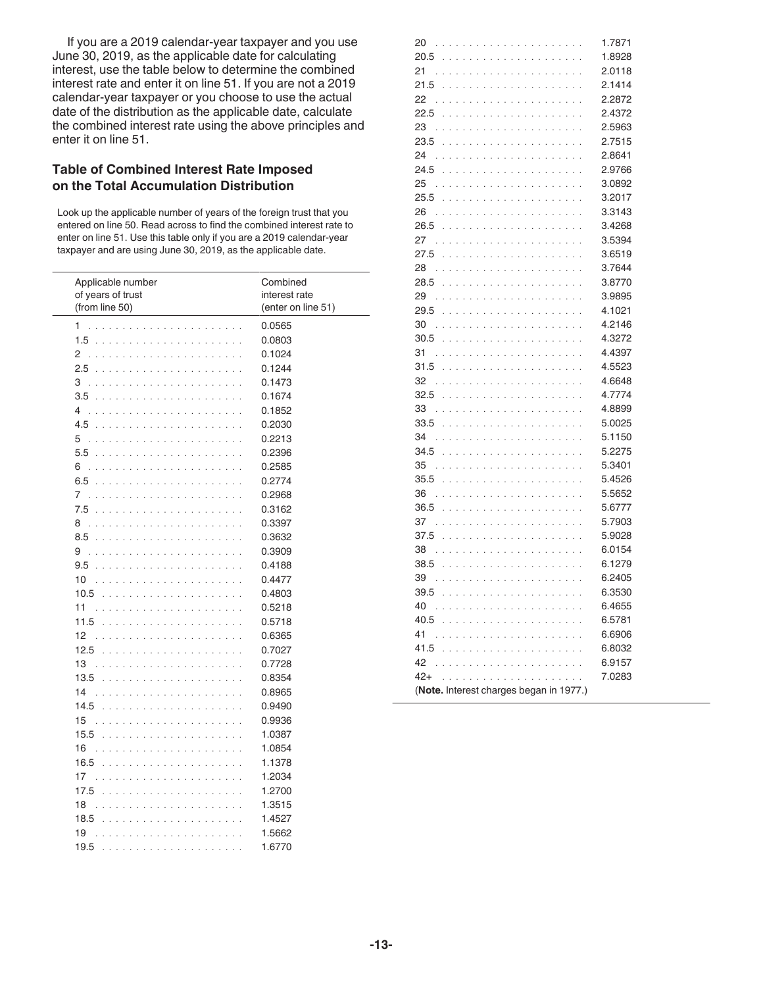If you are a 2019 calendar-year taxpayer and you use June 30, 2019, as the applicable date for calculating interest, use the table below to determine the combined interest rate and enter it on line 51. If you are not a 2019 calendar-year taxpayer or you choose to use the actual date of the distribution as the applicable date, calculate the combined interest rate using the above principles and enter it on line 51.

#### **Table of Combined Interest Rate Imposed on the Total Accumulation Distribution**

Look up the applicable number of years of the foreign trust that you entered on line 50. Read across to find the combined interest rate to enter on line 51. Use this table only if you are a 2019 calendar-year taxpayer and are using June 30, 2019, as the applicable date.

| Applicable number<br>of years of trust<br>(from line 50)                                                                                                                                                                               | Combined<br>interest rate<br>(enter on line 51) |
|----------------------------------------------------------------------------------------------------------------------------------------------------------------------------------------------------------------------------------------|-------------------------------------------------|
| 1                                                                                                                                                                                                                                      | 0.0565                                          |
| 1.5                                                                                                                                                                                                                                    | 0.0803                                          |
| 2                                                                                                                                                                                                                                      | 0.1024                                          |
|                                                                                                                                                                                                                                        | 0.1244                                          |
| 3                                                                                                                                                                                                                                      | 0.1473                                          |
| 3.5                                                                                                                                                                                                                                    | 0.1674                                          |
| 4                                                                                                                                                                                                                                      | 0.1852                                          |
|                                                                                                                                                                                                                                        | 0.2030                                          |
| 5                                                                                                                                                                                                                                      | 0.2213                                          |
|                                                                                                                                                                                                                                        | 0.2396                                          |
| 6                                                                                                                                                                                                                                      | 0.2585                                          |
| 6.5                                                                                                                                                                                                                                    | 0.2774                                          |
| 7                                                                                                                                                                                                                                      | 0.2968                                          |
|                                                                                                                                                                                                                                        | 0.3162                                          |
| 8                                                                                                                                                                                                                                      | 0.3397                                          |
|                                                                                                                                                                                                                                        | 0.3632                                          |
| 9                                                                                                                                                                                                                                      | 0.3909                                          |
| 9.5                                                                                                                                                                                                                                    | 0.4188                                          |
| 10                                                                                                                                                                                                                                     | 0.4477                                          |
| 10.5                                                                                                                                                                                                                                   | 0.4803                                          |
| 11                                                                                                                                                                                                                                     | 0.5218                                          |
| 11.5                                                                                                                                                                                                                                   | 0.5718                                          |
| 12                                                                                                                                                                                                                                     | 0.6365                                          |
| 12.5                                                                                                                                                                                                                                   | 0.7027                                          |
| 13                                                                                                                                                                                                                                     | 0.7728                                          |
| 13.5                                                                                                                                                                                                                                   | 0.8354                                          |
| 14                                                                                                                                                                                                                                     | 0.8965                                          |
| 14.5                                                                                                                                                                                                                                   | 0.9490                                          |
| 15                                                                                                                                                                                                                                     | 0.9936                                          |
| 15.5                                                                                                                                                                                                                                   | 1.0387                                          |
| 16                                                                                                                                                                                                                                     | 1.0854                                          |
| 16.5                                                                                                                                                                                                                                   | 1.1378                                          |
| 17                                                                                                                                                                                                                                     | 1.2034                                          |
| 17.5                                                                                                                                                                                                                                   | 1.2700                                          |
| 18                                                                                                                                                                                                                                     | 1.3515                                          |
| 18.5                                                                                                                                                                                                                                   | 1.4527                                          |
| 19                                                                                                                                                                                                                                     | 1.5662                                          |
| 19.5<br>the second company of the second company of the second company of the second company of the second company of the second company of the second company of the second company of the second company of the second company of th | 1.6770                                          |

| 20                                      |                                                                                                                                                                                                                               | 1.7871 |  |
|-----------------------------------------|-------------------------------------------------------------------------------------------------------------------------------------------------------------------------------------------------------------------------------|--------|--|
| 20.5                                    |                                                                                                                                                                                                                               | 1.8928 |  |
| 21                                      |                                                                                                                                                                                                                               | 2.0118 |  |
| 21.5                                    | and a state<br>and a straight and<br>$\ddot{\phantom{a}}$                                                                                                                                                                     | 2.1414 |  |
| 22                                      |                                                                                                                                                                                                                               | 2.2872 |  |
| 22.5                                    |                                                                                                                                                                                                                               | 2.4372 |  |
| 23                                      | .<br>$\bar{z}$                                                                                                                                                                                                                | 2.5963 |  |
| 23.5                                    | $\ddot{\phantom{a}}$<br>÷,<br>$\ddot{\phantom{a}}$<br>$\sim 100$ $\mu$<br>$\ddot{\phantom{a}}$<br>$\ddot{\phantom{a}}$<br>$\ddot{\phantom{a}}$<br>$\lambda$                                                                   | 2.7515 |  |
| 24                                      |                                                                                                                                                                                                                               | 2.8641 |  |
| 24.5                                    | J.                                                                                                                                                                                                                            | 2.9766 |  |
| 25                                      |                                                                                                                                                                                                                               | 3.0892 |  |
| 25.5                                    | a a anala<br>and a state<br>÷.<br>$\sim$ $\sim$ $\sim$<br>J.<br>$\sim$ $\sim$ $\sim$                                                                                                                                          | 3.2017 |  |
| 26                                      | and and<br>÷.<br>and a state<br>and a straight and                                                                                                                                                                            | 3.3143 |  |
| 26.5                                    |                                                                                                                                                                                                                               | 3.4268 |  |
| 27                                      | and a straight and<br>1.111<br>$\ddot{\phantom{a}}$<br>$\ddot{\phantom{a}}$<br>and a series<br>l.<br>$\ddot{\phantom{a}}$<br>$\ddot{\phantom{a}}$                                                                             | 3.5394 |  |
| 27.5                                    | $\ddot{\phantom{a}}$<br>$\sim$ $\sim$<br>$\ddot{\phantom{a}}$<br>$\ddot{\phantom{a}}$<br><b>Service</b><br>$\sim 100$ $\sim$<br>$\sim 100$ $\sim$                                                                             | 3.6519 |  |
| 28                                      |                                                                                                                                                                                                                               | 3.7644 |  |
| 28.5                                    |                                                                                                                                                                                                                               | 3.8770 |  |
| 29                                      |                                                                                                                                                                                                                               | 3.9895 |  |
| 29.5                                    |                                                                                                                                                                                                                               | 4.1021 |  |
| 30                                      | J.<br>$\overline{\phantom{a}}$<br>$\overline{a}$<br>$\overline{\phantom{a}}$<br>$\sim$<br>$\overline{a}$<br>J.<br>$\sim$ $\sim$ $\sim$                                                                                        | 4.2146 |  |
| 30.5                                    | .<br>$\overline{a}$<br>.                                                                                                                                                                                                      | 4.3272 |  |
| 31                                      | .                                                                                                                                                                                                                             | 4.4397 |  |
| 31.5                                    | $\ddot{\phantom{a}}$<br>$\sim 100$ km $^{-1}$<br>i.<br>÷.<br>$\sim$                                                                                                                                                           | 4.5523 |  |
| 32                                      | ÷,<br>÷,<br>$\ddot{\phantom{a}}$<br>÷,<br>$\sim$ $\sim$<br>÷.<br>$\lambda$                                                                                                                                                    | 4.6648 |  |
| 32.5                                    |                                                                                                                                                                                                                               | 4.7774 |  |
| 33                                      | $\overline{a}$<br>$\overline{a}$                                                                                                                                                                                              | 4.8899 |  |
| 33.5                                    |                                                                                                                                                                                                                               | 5.0025 |  |
| 34                                      | $\sim$ $\sim$ $\sim$<br>and a state<br>$\sim$ $\sim$ $\sim$<br>J.<br>$\sim$ $\sim$ $\sim$<br>$\overline{\phantom{a}}$                                                                                                         | 5.1150 |  |
| 34.5                                    | a di sera<br>$\overline{a}$<br>and a state<br>÷.<br>and a state of the                                                                                                                                                        | 5.2275 |  |
| 35                                      |                                                                                                                                                                                                                               | 5.3401 |  |
| 35.5                                    | and a sta<br>$\ddot{\phantom{a}}$<br>$\ddot{\phantom{a}}$<br>$\sim 100$ $\mu$<br>l,<br>$\ddot{\phantom{a}}$<br>and a straight and<br>$\bar{a}$<br>÷,                                                                          | 5.4526 |  |
| 36                                      | and a straight and<br>1919<br>$\ddot{\phantom{a}}$<br>$\mathcal{L}$<br>l,<br>$\ddot{\phantom{a}}$<br>$\ddot{\phantom{a}}$<br>$\sim 100$ $\mu$                                                                                 | 5.5652 |  |
| 36.5                                    | <b>Service</b> and<br>$\lambda$<br>÷,<br>$\ddot{\phantom{a}}$<br>÷,<br>$\bar{a}$<br>÷,<br>$\bar{a}$<br>÷,<br>$\sim$                                                                                                           | 5.6777 |  |
| 37                                      |                                                                                                                                                                                                                               | 5.7903 |  |
| 37.5                                    | $\sim$ $\sim$<br>$\ddot{\phantom{a}}$<br>J.<br>÷,<br>l,                                                                                                                                                                       | 5.9028 |  |
| 38                                      | .<br>$\sim$ $\sim$ $\sim$<br>$\overline{\phantom{a}}$<br>$\overline{\phantom{a}}$<br>$\sim$                                                                                                                                   | 6.0154 |  |
| 38.5                                    |                                                                                                                                                                                                                               | 6.1279 |  |
| 39                                      |                                                                                                                                                                                                                               | 6.2405 |  |
| 39.5                                    | . The contract of the contract of the contract of the contract of the contract of the contract of the contract of the contract of the contract of the contract of the contract of the contract of the contract of the contrac | 6.3530 |  |
| 40                                      |                                                                                                                                                                                                                               | 6.4655 |  |
|                                         |                                                                                                                                                                                                                               | 6.5781 |  |
| 41                                      |                                                                                                                                                                                                                               | 6.6906 |  |
|                                         |                                                                                                                                                                                                                               | 6.8032 |  |
| 42                                      | and a straight<br>distribution of the company of the                                                                                                                                                                          | 6.9157 |  |
| $42+$                                   |                                                                                                                                                                                                                               | 7.0283 |  |
| (Note. Interest charges began in 1977.) |                                                                                                                                                                                                                               |        |  |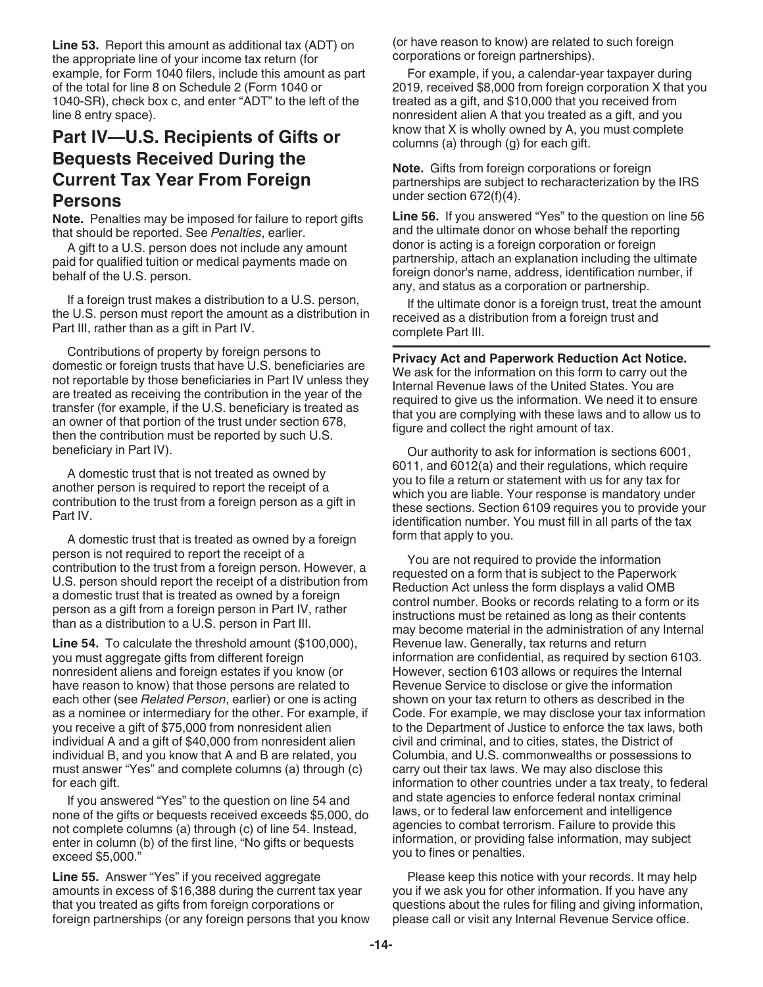**Line 53.** Report this amount as additional tax (ADT) on the appropriate line of your income tax return (for example, for Form 1040 filers, include this amount as part of the total for line 8 on Schedule 2 (Form 1040 or 1040-SR), check box c, and enter "ADT" to the left of the line 8 entry space).

## **Part IV—U.S. Recipients of Gifts or Bequests Received During the Current Tax Year From Foreign Persons**

**Note.** Penalties may be imposed for failure to report gifts that should be reported. See *Penalties*, earlier.

A gift to a U.S. person does not include any amount paid for qualified tuition or medical payments made on behalf of the U.S. person.

If a foreign trust makes a distribution to a U.S. person, the U.S. person must report the amount as a distribution in Part III, rather than as a gift in Part IV.

Contributions of property by foreign persons to domestic or foreign trusts that have U.S. beneficiaries are not reportable by those beneficiaries in Part IV unless they are treated as receiving the contribution in the year of the transfer (for example, if the U.S. beneficiary is treated as an owner of that portion of the trust under section 678, then the contribution must be reported by such U.S. beneficiary in Part IV).

A domestic trust that is not treated as owned by another person is required to report the receipt of a contribution to the trust from a foreign person as a gift in Part IV.

A domestic trust that is treated as owned by a foreign person is not required to report the receipt of a contribution to the trust from a foreign person. However, a U.S. person should report the receipt of a distribution from a domestic trust that is treated as owned by a foreign person as a gift from a foreign person in Part IV, rather than as a distribution to a U.S. person in Part III.

**Line 54.** To calculate the threshold amount (\$100,000), you must aggregate gifts from different foreign nonresident aliens and foreign estates if you know (or have reason to know) that those persons are related to each other (see *Related Person*, earlier) or one is acting as a nominee or intermediary for the other. For example, if you receive a gift of \$75,000 from nonresident alien individual A and a gift of \$40,000 from nonresident alien individual B, and you know that A and B are related, you must answer "Yes" and complete columns (a) through (c) for each gift.

If you answered "Yes" to the question on line 54 and none of the gifts or bequests received exceeds \$5,000, do not complete columns (a) through (c) of line 54. Instead, enter in column (b) of the first line, "No gifts or bequests exceed \$5,000."

**Line 55.** Answer "Yes" if you received aggregate amounts in excess of \$16,388 during the current tax year that you treated as gifts from foreign corporations or foreign partnerships (or any foreign persons that you know (or have reason to know) are related to such foreign corporations or foreign partnerships).

For example, if you, a calendar-year taxpayer during 2019, received \$8,000 from foreign corporation X that you treated as a gift, and \$10,000 that you received from nonresident alien A that you treated as a gift, and you know that X is wholly owned by A, you must complete columns (a) through (g) for each gift.

**Note.** Gifts from foreign corporations or foreign partnerships are subject to recharacterization by the IRS under section 672(f)(4).

**Line 56.** If you answered "Yes" to the question on line 56 and the ultimate donor on whose behalf the reporting donor is acting is a foreign corporation or foreign partnership, attach an explanation including the ultimate foreign donor's name, address, identification number, if any, and status as a corporation or partnership.

If the ultimate donor is a foreign trust, treat the amount received as a distribution from a foreign trust and complete Part III.

**Privacy Act and Paperwork Reduction Act Notice.**  We ask for the information on this form to carry out the Internal Revenue laws of the United States. You are required to give us the information. We need it to ensure that you are complying with these laws and to allow us to figure and collect the right amount of tax.

Our authority to ask for information is sections 6001, 6011, and 6012(a) and their regulations, which require you to file a return or statement with us for any tax for which you are liable. Your response is mandatory under these sections. Section 6109 requires you to provide your identification number. You must fill in all parts of the tax form that apply to you.

You are not required to provide the information requested on a form that is subject to the Paperwork Reduction Act unless the form displays a valid OMB control number. Books or records relating to a form or its instructions must be retained as long as their contents may become material in the administration of any Internal Revenue law. Generally, tax returns and return information are confidential, as required by section 6103. However, section 6103 allows or requires the Internal Revenue Service to disclose or give the information shown on your tax return to others as described in the Code. For example, we may disclose your tax information to the Department of Justice to enforce the tax laws, both civil and criminal, and to cities, states, the District of Columbia, and U.S. commonwealths or possessions to carry out their tax laws. We may also disclose this information to other countries under a tax treaty, to federal and state agencies to enforce federal nontax criminal laws, or to federal law enforcement and intelligence agencies to combat terrorism. Failure to provide this information, or providing false information, may subject you to fines or penalties.

Please keep this notice with your records. It may help you if we ask you for other information. If you have any questions about the rules for filing and giving information, please call or visit any Internal Revenue Service office.